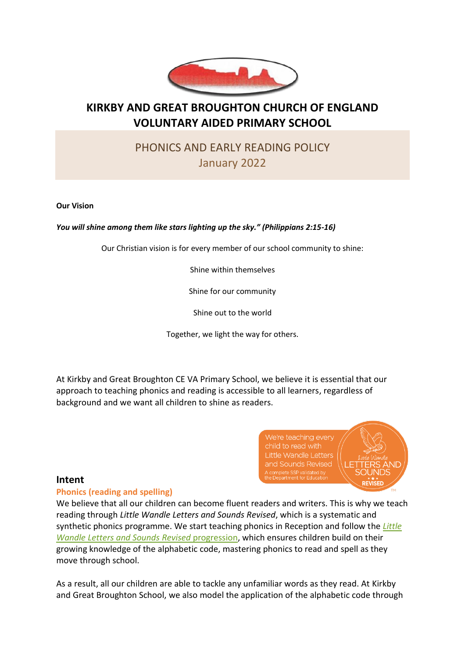

## **KIRKBY AND GREAT BROUGHTON CHURCH OF ENGLAND VOLUNTARY AIDED PRIMARY SCHOOL**

# PHONICS AND EARLY READING POLICY January 2022

**Our Vision**

*You will shine among them like stars lighting up the sky." (Philippians 2:15-16)*

Our Christian vision is for every member of our school community to shine:

Shine within themselves

Shine for our community

Shine out to the world

Together, we light the way for others.

At Kirkby and Great Broughton CE VA Primary School, we believe it is essential that our approach to teaching phonics and reading is accessible to all learners, regardless of background and we want all children to shine as readers.



## **Intent**

#### **Phonics (reading and spelling)**

We believe that all our children can become fluent readers and writers. This is why we teach reading through *Little Wandle Letters and Sounds Revised*, which is a systematic and synthetic phonics programme. We start teaching phonics in Reception and follow the *[Little](https://wandlelearningtrust.sharepoint.com/sites/WTSA2/Shared%20Documents/Forms/AllItems.aspx?csf=1&web=1&e=dA5Kg8&cid=c07c4b6e%2D7eff%2D4834%2Db0a2%2De34e77f1195a&FolderCTID=0x0120002B68E4606EDEEB42917E483D1520364F&id=%2Fsites%2FWTSA2%2FShared%20Documents%2FLetters%20and%20Sounds%2FLetters%20and%20Sounds%20Revised%2FSigned%20off%20files%2FProgramme%20Overview%5FReception%20and%20Year%201%2Epdf&parent=%2Fsites%2FWTSA2%2FShared%20Documents%2FLetters%20and%20Sounds%2FLetters%20and%20Sounds%20Revised%2FSigned%20off%20files)  [Wandle Letters and Sounds Revised](https://wandlelearningtrust.sharepoint.com/sites/WTSA2/Shared%20Documents/Forms/AllItems.aspx?csf=1&web=1&e=dA5Kg8&cid=c07c4b6e%2D7eff%2D4834%2Db0a2%2De34e77f1195a&FolderCTID=0x0120002B68E4606EDEEB42917E483D1520364F&id=%2Fsites%2FWTSA2%2FShared%20Documents%2FLetters%20and%20Sounds%2FLetters%20and%20Sounds%20Revised%2FSigned%20off%20files%2FProgramme%20Overview%5FReception%20and%20Year%201%2Epdf&parent=%2Fsites%2FWTSA2%2FShared%20Documents%2FLetters%20and%20Sounds%2FLetters%20and%20Sounds%20Revised%2FSigned%20off%20files)* progression, which ensures children build on their growing knowledge of the alphabetic code, mastering phonics to read and spell as they move through school.

As a result, all our children are able to tackle any unfamiliar words as they read. At Kirkby and Great Broughton School, we also model the application of the alphabetic code through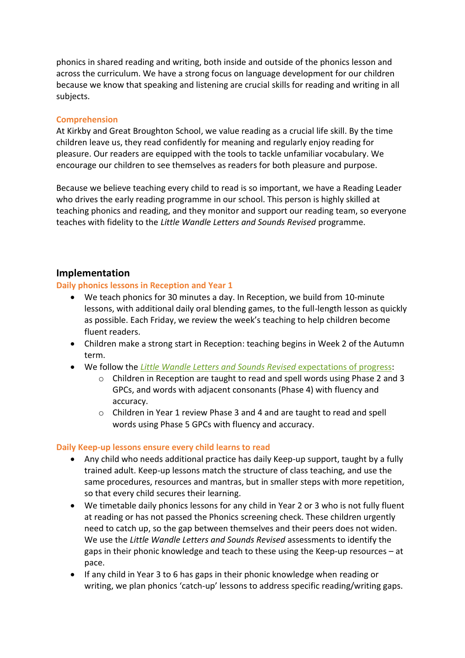phonics in shared reading and writing, both inside and outside of the phonics lesson and across the curriculum. We have a strong focus on language development for our children because we know that speaking and listening are crucial skills for reading and writing in all subjects.

#### **Comprehension**

At Kirkby and Great Broughton School, we value reading as a crucial life skill. By the time children leave us, they read confidently for meaning and regularly enjoy reading for pleasure. Our readers are equipped with the tools to tackle unfamiliar vocabulary. We encourage our children to see themselves as readers for both pleasure and purpose.

Because we believe teaching every child to read is so important, we have a Reading Leader who drives the early reading programme in our school. This person is highly skilled at teaching phonics and reading, and they monitor and support our reading team, so everyone teaches with fidelity to the *Little Wandle Letters and Sounds Revised* programme.

#### **Implementation**

#### **Daily phonics lessons in Reception and Year 1**

- We teach phonics for 30 minutes a day. In Reception, we build from 10-minute lessons, with additional daily oral blending games, to the full-length lesson as quickly as possible. Each Friday, we review the week's teaching to help children become fluent readers.
- Children make a strong start in Reception: teaching begins in Week 2 of the Autumn term.
- We follow the *[Little Wandle Letters and Sounds Revised](https://wandlelearningtrust.sharepoint.com/sites/WTSA2/Shared%20Documents/Forms/AllItems.aspx?csf=1&web=1&e=dA5Kg8&cid=c07c4b6e%2D7eff%2D4834%2Db0a2%2De34e77f1195a&FolderCTID=0x0120002B68E4606EDEEB42917E483D1520364F&id=%2Fsites%2FWTSA2%2FShared%20Documents%2FLetters%20and%20Sounds%2FLetters%20and%20Sounds%20Revised%2FSigned%20off%20files%2FProgramme%20Overview%5FReception%20and%20Year%201%2Epdf&parent=%2Fsites%2FWTSA2%2FShared%20Documents%2FLetters%20and%20Sounds%2FLetters%20and%20Sounds%20Revised%2FSigned%20off%20files)* expectations of progress:
	- o Children in Reception are taught to read and spell words using Phase 2 and 3 GPCs, and words with adjacent consonants (Phase 4) with fluency and accuracy.
	- o Children in Year 1 review Phase 3 and 4 and are taught to read and spell words using Phase 5 GPCs with fluency and accuracy.

#### **Daily Keep-up lessons ensure every child learns to read**

- Any child who needs additional practice has daily Keep-up support, taught by a fully trained adult. Keep-up lessons match the structure of class teaching, and use the same procedures, resources and mantras, but in smaller steps with more repetition, so that every child secures their learning.
- We timetable daily phonics lessons for any child in Year 2 or 3 who is not fully fluent at reading or has not passed the Phonics screening check. These children urgently need to catch up, so the gap between themselves and their peers does not widen. We use the *Little Wandle Letters and Sounds Revised* assessments to identify the gaps in their phonic knowledge and teach to these using the Keep-up resources – at pace.
- If any child in Year 3 to 6 has gaps in their phonic knowledge when reading or writing, we plan phonics 'catch-up' lessons to address specific reading/writing gaps.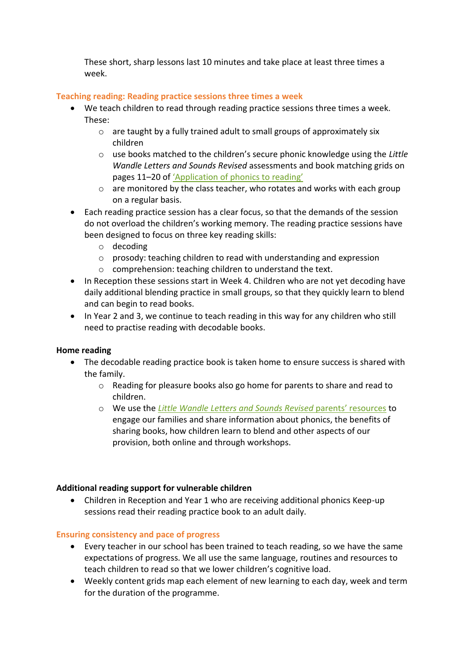These short, sharp lessons last 10 minutes and take place at least three times a week.

## **Teaching reading: Reading practice sessions three times a week**

- We teach children to read through reading practice sessions three times a week. These:
	- o are taught by a fully trained adult to small groups of approximately six children
	- o use books matched to the children's secure phonic knowledge using the *Little Wandle Letters and Sounds Revised* assessments and book matching grids on pages 11–20 of ['Application of phonics to reading'](https://www.littlewandlelettersandsounds.org.uk/wp-content/uploads/2021/11/LS-KEY-GUIDANCE-APPLICATION-OF-PHONICS-NEW-PD03-1.pdf)
	- $\circ$  are monitored by the class teacher, who rotates and works with each group on a regular basis.
- Each reading practice session has a clear focus, so that the demands of the session do not overload the children's working memory. The reading practice sessions have been designed to focus on three key reading skills:
	- o decoding
	- o prosody: teaching children to read with understanding and expression
	- o comprehension: teaching children to understand the text.
- In Reception these sessions start in Week 4. Children who are not yet decoding have daily additional blending practice in small groups, so that they quickly learn to blend and can begin to read books.
- In Year 2 and 3, we continue to teach reading in this way for any children who still need to practise reading with decodable books.

## **Home reading**

- The decodable reading practice book is taken home to ensure success is shared with the family.
	- o Reading for pleasure books also go home for parents to share and read to children.
	- o We use the *[Little Wandle Letters and Sounds Revised](https://www.littlewandlelettersandsounds.org.uk/resources/for-parents/)* parents' resources to engage our families and share information about phonics, the benefits of sharing books, how children learn to blend and other aspects of our provision, both online and through workshops.

#### **Additional reading support for vulnerable children**

• Children in Reception and Year 1 who are receiving additional phonics Keep-up sessions read their reading practice book to an adult daily.

## **Ensuring consistency and pace of progress**

- Every teacher in our school has been trained to teach reading, so we have the same expectations of progress. We all use the same language, routines and resources to teach children to read so that we lower children's cognitive load.
- Weekly content grids map each element of new learning to each day, week and term for the duration of the programme.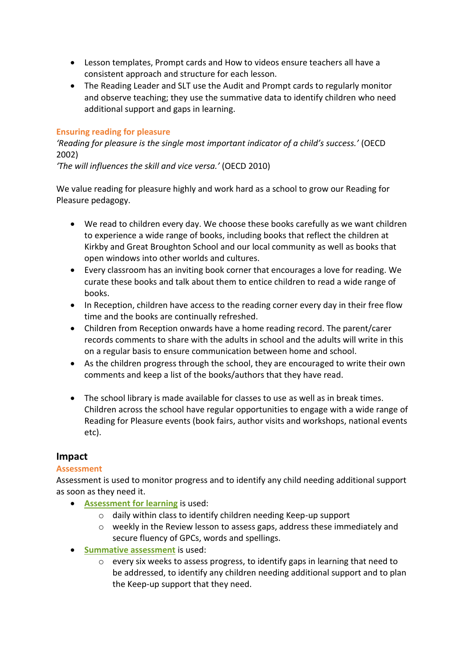- Lesson templates, Prompt cards and How to videos ensure teachers all have a consistent approach and structure for each lesson.
- The Reading Leader and SLT use the Audit and Prompt cards to regularly monitor and observe teaching; they use the summative data to identify children who need additional support and gaps in learning.

#### **Ensuring reading for pleasure**

*'Reading for pleasure is the single most important indicator of a child's success.'* (OECD 2002)

*'The will influences the skill and vice versa.'* (OECD 2010)

We value reading for pleasure highly and work hard as a school to grow our Reading for Pleasure pedagogy.

- We read to children every day. We choose these books carefully as we want children to experience a wide range of books, including books that reflect the children at Kirkby and Great Broughton School and our local community as well as books that open windows into other worlds and cultures.
- Every classroom has an inviting book corner that encourages a love for reading. We curate these books and talk about them to entice children to read a wide range of books.
- In Reception, children have access to the reading corner every day in their free flow time and the books are continually refreshed.
- Children from Reception onwards have a home reading record. The parent/carer records comments to share with the adults in school and the adults will write in this on a regular basis to ensure communication between home and school.
- As the children progress through the school, they are encouraged to write their own comments and keep a list of the books/authors that they have read.
- The school library is made available for classes to use as well as in break times. Children across the school have regular opportunities to engage with a wide range of Reading for Pleasure events (book fairs, author visits and workshops, national events etc).

## **Impact**

## **Assessment**

Assessment is used to monitor progress and to identify any child needing additional support as soon as they need it.

- **[Assessment for learning](https://www.littlewandlelettersandsounds.org.uk/wp-content/uploads/2021/03/LS-KEY-GUIDANCE-GETTING-STARTED-ASSESSMENT-FINAL.pdf)** is used:
	- o daily within class to identify children needing Keep-up support
	- $\circ$  weekly in the Review lesson to assess gaps, address these immediately and secure fluency of GPCs, words and spellings.
- **[Summative assessment](https://www.littlewandlelettersandsounds.org.uk/resources/my-letters-and-sounds/assessment-tools/)** is used:
	- o every six weeks to assess progress, to identify gaps in learning that need to be addressed, to identify any children needing additional support and to plan the Keep-up support that they need.